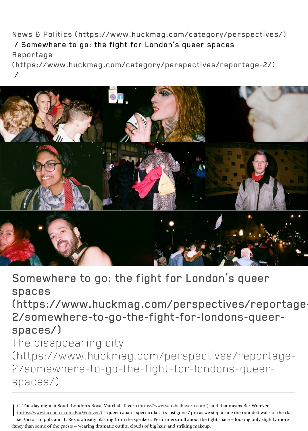

Somewhere to go: the fight for L spaces (https://www.huckmag.com/per 2/somewhere-to-go-the-fight-fo spaces/) The disappearing city (https://www.huckmag.com/pers 2/somewhere-to-go-the-fight-for spaces/)

I t's Tuesday night at South London's Royal Vauxhall Tavern (https://www.vauxhalltav (https://www.facebook.com/BarWotever/) – queer cabaret spectacular. It's just gone ' sic Victorian pub, and T. Rex is already blasting from the speakers. Performers mill a fancy than some of the guests – wearing dramatic outfits, clouds of big hair, and striking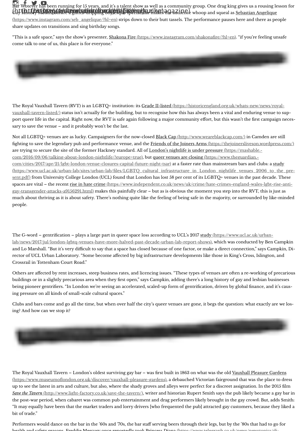[gay-transgender-attacks-a9156291.html\) makes this painfull](http://instagram.com/huckmagazine)[y clear – but a](https://www.facebook.com/HUCKmagazine)s is obvious t much about thriving as it is about safety. There's nothing quite like the feeling of being people.

The G-word – gentrification – plays a large part in queer space loss according to UCL's lab/news/2017/jul/london-lgbtq-venues-have-more-halved-past-decade-urban-lab-rep and Lo Marshall. "But it's very difficult to say that a space has closed because of one fac rector of UCL Urban Laboratory. "Some become affected by big infrastructure develop Crossrail in Tottenham Court Road."

Others are affected by rent increases, steep business rates, and licencing issues. "These buildings or in a slightly precarious area when they first open," says Campkin, adding the being pioneer gentrifiers. "In London we're seeing an accelerated, scaled-up form of go [ing pressure on all kinds of small-scale cultural spaces."](https://historicengland.org.uk/whats-new/news/royal-vauxhall-tavern-listed/) 

Clubs and bars come and go all the time, but when over half the city's queer venues are ing? And how can we stop it?



The Royal Vauxhall Tavern – London's oldest surviving gay bar – was first built in 1868 (https://www.museumoflondon.org.uk/discover/vauxhall-pleasure-gardens), a debauch up to see the latest in arts and culture, but also, where the shady groves and alleys were *Save the Tavern* (http://www.light-factory.co.uk/save-the-tavern/), writer and historian I the post-war period, when cabaret was common pub entertainment and drag performers likely brown. But, and the gas "It may equally have been that the market traders and lorry drivers [who frequented th bit of trade."

Performers would dance on the bar in the '60s and '70s, the bar staff serving beers through [health and safety reasons. Freddie Mercury once reportedly took Princess Diana \(https://www.telegraph.co.uk/news/newstopics/d](https://www.ucl.ac.uk/urban-lab/news/2017/jul/london-lgbtq-venues-have-more-halved-past-decade-urban-lab-report-shows)i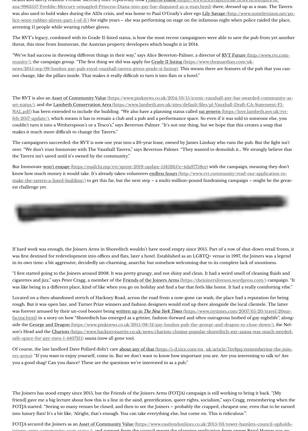[est challenge yet.](https://www.telegraph.co.uk/news/newstopics/diana/9963557/Freddie-Mercury-smuggled-Princess-Diana-into-gay-bar-disguised-as-a-man.html) 



If hard work was enough, the Joiners Arms in Shoreditch wouldn't have stood empty single 2015. was first destined for redevelopment into offices and flats, later a hotel. Established as a in its own time: a bit aggressive, decidedly un-charming, anarchic but somehow welcom

"I first started going to the Joiners around 2008. It was pretty grungy, and not shiny and cigarettes and jizz," says Peter Cragg, a member of the Friends of the Joiners Arms (https://the was like being in a different place, kind of like when you go on holiday and find a bar that feels wibe."

Located on a then-abandoned stretch of Hackney Road, across the road from a now-go rough. But it was open late, and Turner Prize winners and fashion designers would end was forever amused by their un-cool boozer being written up in *The New York Times* (https://www.nytimes.com/2007 facing.html) in a story on how "Shoreditch has emerged as a grittier, fashion-forward a side the George and Dragon (https://www.pinknews.co.uk/2015/08/12/gay-london-pubson's Head and the Chariots (https://www.hackneygazette.co.uk/news/chariots-closingsafe-space-for-gay-men-1-4407211) sauna (now all gone too).

Of course, the late landlord Dave Pollard didn't care about any of that (https://i-d.vice.com/ ers-arms): "If y[ou want to enjoy yourself, come in. But we don't want to know how important you](https://mailchi.mp/rvt/sprint-2019-update-1585265?e=4da97758ee) want to talk to [you a good shag? Can you dance? These are the questions we're interested in as a pub."](http://www.rvt.community/read-our-application-to-make-the-tavern-a-listed-building/)

The Joiners has stood empty since 2015, but the Friends of the Joiners Arms (FOTJA) c friend] gave me a big lecture about how this is a line in the sand, gentrification, queer r FOTJA started. "Seeing so many venues be closed, and then to see the Joiners – probab into luxury flats! It's a bit like, 'Alright, that's enough. You can take everything else, but

FOTJA secured the Joiners as an Asset of Community Value (https://www.eastlondonlines.com  $j_{\text{o}}$  arms-community-asset-status), and support from the council meant the plant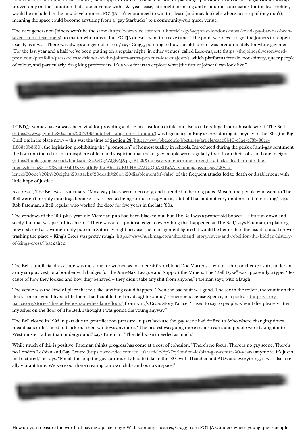As a result, The Bell was a sanctuary. "Most gay places were men only, and it tended to Bell weren't terribly into drag, because it was seen as being sort of misogynistic, a bit o Rob Pateman, a Bell regular who worked the door for fve years in the late '80s.

The windows of the 160-plus-year-old Victorian pub had been blacked out, but The Be seedy, but that was part of its charm. "There was a real political edge to everything that how it started as a women-only pub on a Saturday night because the management figured it would be better than the usual form trashing the place – King's Cross was pretty rough (https://www.huckmag.com/shortha of-kings-cross/) back then.

The Bell's unofficial dress code was the same for women as for men: 501s, oxblood Doc army surplus vest, or a bomber with badges for the Anti-Nazi League and Support the cause of how they looked and how they behaved – they didn't take any shit from anyon

The venue was the kind of place that felt like anything could happen: "Even the bad stu floor. I mean, god, I lived a life there that I couldn't tell my daughter about," remember palace.org/stories/the-bell-ghosts-on-the-dancefloor/) from King's Cross Story Palace. my ashes on the foor of The Bell. I thought I was gonna die young anyway."

The Bell closed in 1995 in part due to gentrification pressure, in part because the gay so meant bars didn't need to black-out their windows anymore. "The protest was going m Westminster rather than underground," says Pateman. "The Bell wasn't needed as muc

While much of this is positive, Pateman thinks progress has come at a cost of cohesion no London Lesbian and Gay Centre (https://www.vice.com/en\_uk/article/dpk7xj/londo bit fractured," he says. "For all the crap the gay community had to take in the '80s with ally vibrant time. We were out there creating our own clubs and our own space."

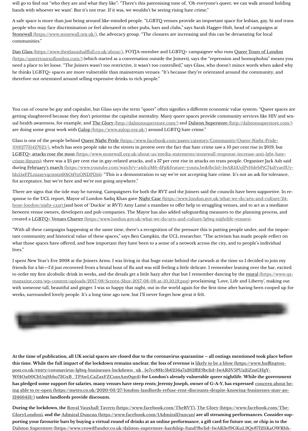There are signs that the tide may be turning. Campaigners for both the RVT and the Jo sponse to the UCL report, Mayor of London Sadiq Khan gave Night Czar (https://www. hour-london/night-czar) (and host of 'Duckie' at RVT) Amy Lamé a mandate to offer h between venue owners, developers and pub companies. The Mayor has also added safeguarding measures to the planning process, and planning process, and  $q$ [created a LGBTQ+ Venues Charter \(https:](https://www.stonewall.org.uk/)//www.london.gov.uk/what-we-do/arts-and-ou

"With all these campaigns happening at the same time, there's a recognition of the pre [tant community and historical value of these spaces," s](https://www.theglassishalffull.co.uk/about/)ays Ben Campkin, the UCL researcher. what those spaces have offered, and how important they have been to a sense of a network across the city, and to people lives."

I spent New Year's Eve 2008 at the Joiners Arms. I was living in that huge estate behind friends for a bit—I'd just recovered from a brutal bout of flu and was still feeling a little to order my first alcoholic drink in weeks, and the details get a little hazy after that but magazine.com/wp-content/uploads/2017/08/Screen-Shot-2017-08-08-at-10.50.19.png with someone tall, beautiful and ginger. I was so happy that night, out in the world aga weeks, surrounded lovely people. It's a long time ago now, but I'll never forget how gre



At the time of publication, all UK social spaces are closed due to the coronavirus qua **this time. While the full impact of the lockdown remains unclear, the loss of revenue is likely to be a blow (https://www.hufngtonpost.co.uk/entry/coronavirus-lgbtq-businesses-lockdown\_uk\_5e7cc881c5b6256a7a2 Wf4Oa00CbUnjSbbo73GxB\_TPAwLCaZaxFZCumAm0qn4) for London's already v** has pledged some support for salaries, many venues have steep rents; Jeremy Joseph, ing able to re-open (https://metro.co.uk/2020/03/27/london-landlords-refuse-rent-**12466431/) unless landlords provide discounts.**

During the lockdown, the Royal Vauxhall Tavern (https://www.facebook.com/TheRV GloryLondon), and the Admiral Duncan (https://www.facebook.com/1AdmiralDunc **porting your favourite bars by buying a virtual round of drinks at an online performance, a gif card for future use, or chip in to the Dalston Superstore (https://www.crowdfunder.co.uk/dalston-superstore-hardship-fi**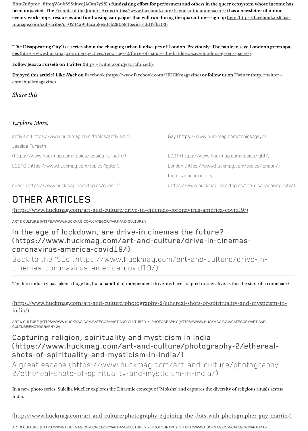## OTHER A[RTICLES](https://www.facebook.com/friendsofthejoinersarms/)

(https://www.huckmag.com/art-and-culture/drive-in-cinemas-coronav

ART & CULTURE (HTTPS://WWW.HUCKMAG.COM/CATEGORY/ART-AND-CULTURE/)

## In the age of lockdown, are drive-in cinemas the (https://www.huckmag.com/art-and-culture/d coronavirus-a[merica-covid19/\)](https://twitter.com/jessicafurseth)

Back to the '50s (https://www.huckmag.com/art[cinemas-coronavirus-america-covid19/\)](http://twitter.com/huckmagazine)

The film industry has taken a huge hit, but a handful of independent drive-ins have ad

(https://www.huckmag.com/art-and-culture/photography-2/ethereal-s india/)

[ART & CULTURE \(HTTPS://WWW.HUCKMAG.COM/CATEGORY/ART-AND-C](https://www.huckmag.com/topics/activism/)ULTURE/) > PHOTOG[RAPHY \(HTTPS://WWW.HUCKMAG.COM/CATEGORY/ART-AND-](https://www.huckmag.com/topics/gay/)CULTURE/PHOTOGRAPHY-2/)

[Capturing religion, spirituality](https://www.huckmag.com/topics/jessica-furseth/) and mysticism in (https://www.huckmag.com/art-and-culture/p [shots-of-spirituality-and-mys](https://www.huckmag.com/topics/lgbtq/)ticism-in-in[dia/\)](https://www.huckmag.com/topics/london/) A great escape (https://www.huckmag.com/art-a

[2/ethereal-shots-of-spiritualit](https://www.huckmag.com/topics/queer/)y-and-mysticism-in

In a new photo series, Suleika Mueller explores the Dharmic concept of 'Moksha' and o [India.](https://www.huckmag.com/art-and-culture/drive-in-cinemas-coronavirus-america-covid19/)

(https://www.huckmag.com/art-and-culture/photography-2/joining-th

ART & CULTURE (HTTPS://WWW.HUCKMAG.COM/CATEGORY/ART-AND-CULTURE/) > PHOTOGRAPHY (HTTPS://WWW.HUCKMAG.COM/CATEGORY/ART-AND-